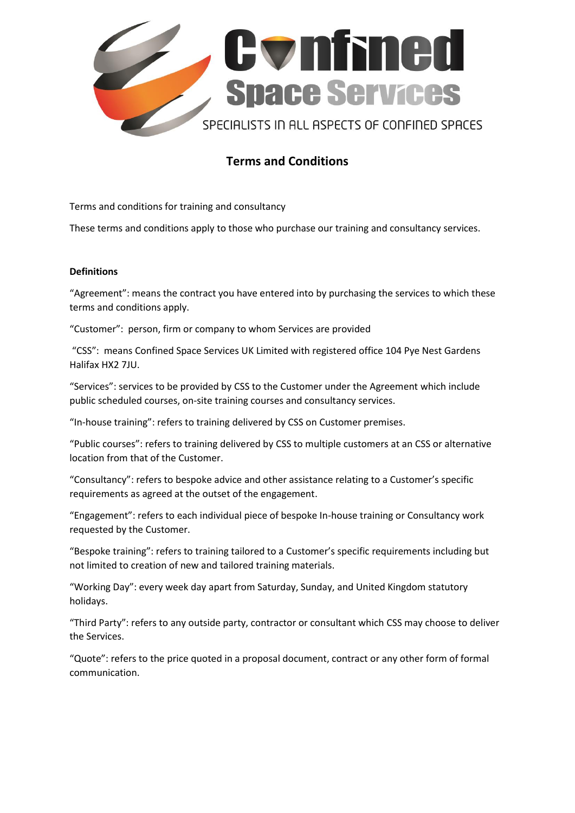

# **Terms and Conditions**

Terms and conditions for training and consultancy

These terms and conditions apply to those who purchase our training and consultancy services.

## **Definitions**

"Agreement": means the contract you have entered into by purchasing the services to which these terms and conditions apply.

"Customer": person, firm or company to whom Services are provided

"CSS": means Confined Space Services UK Limited with registered office 104 Pye Nest Gardens Halifax HX2 7JU.

"Services": services to be provided by CSS to the Customer under the Agreement which include public scheduled courses, on-site training courses and consultancy services.

"In-house training": refers to training delivered by CSS on Customer premises.

"Public courses": refers to training delivered by CSS to multiple customers at an CSS or alternative location from that of the Customer.

"Consultancy": refers to bespoke advice and other assistance relating to a Customer's specific requirements as agreed at the outset of the engagement.

"Engagement": refers to each individual piece of bespoke In-house training or Consultancy work requested by the Customer.

"Bespoke training": refers to training tailored to a Customer's specific requirements including but not limited to creation of new and tailored training materials.

"Working Day": every week day apart from Saturday, Sunday, and United Kingdom statutory holidays.

"Third Party": refers to any outside party, contractor or consultant which CSS may choose to deliver the Services.

"Quote": refers to the price quoted in a proposal document, contract or any other form of formal communication.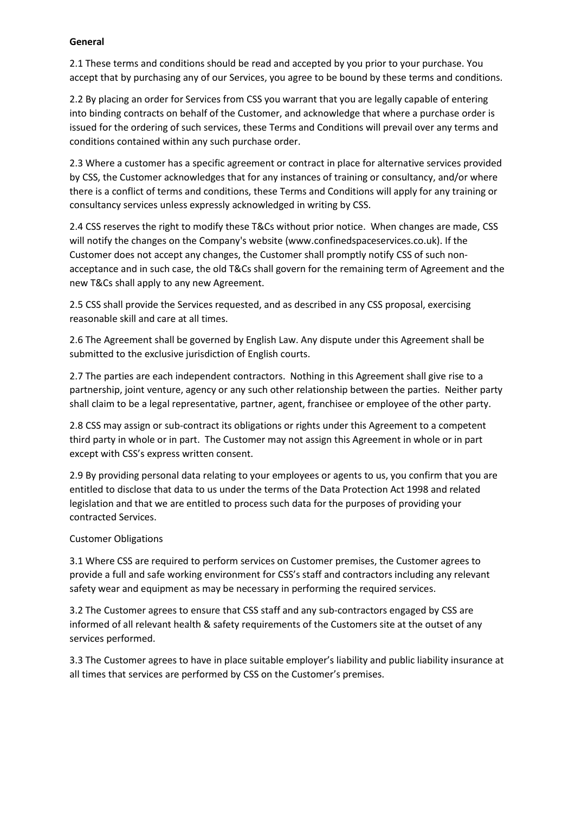## **General**

2.1 These terms and conditions should be read and accepted by you prior to your purchase. You accept that by purchasing any of our Services, you agree to be bound by these terms and conditions.

2.2 By placing an order for Services from CSS you warrant that you are legally capable of entering into binding contracts on behalf of the Customer, and acknowledge that where a purchase order is issued for the ordering of such services, these Terms and Conditions will prevail over any terms and conditions contained within any such purchase order.

2.3 Where a customer has a specific agreement or contract in place for alternative services provided by CSS, the Customer acknowledges that for any instances of training or consultancy, and/or where there is a conflict of terms and conditions, these Terms and Conditions will apply for any training or consultancy services unless expressly acknowledged in writing by CSS.

2.4 CSS reserves the right to modify these T&Cs without prior notice. When changes are made, CSS will notify the changes on the Company's website (www.confinedspaceservices.co.uk). If the Customer does not accept any changes, the Customer shall promptly notify CSS of such nonacceptance and in such case, the old T&Cs shall govern for the remaining term of Agreement and the new T&Cs shall apply to any new Agreement.

2.5 CSS shall provide the Services requested, and as described in any CSS proposal, exercising reasonable skill and care at all times.

2.6 The Agreement shall be governed by English Law. Any dispute under this Agreement shall be submitted to the exclusive jurisdiction of English courts.

2.7 The parties are each independent contractors. Nothing in this Agreement shall give rise to a partnership, joint venture, agency or any such other relationship between the parties. Neither party shall claim to be a legal representative, partner, agent, franchisee or employee of the other party.

2.8 CSS may assign or sub-contract its obligations or rights under this Agreement to a competent third party in whole or in part. The Customer may not assign this Agreement in whole or in part except with CSS's express written consent.

2.9 By providing personal data relating to your employees or agents to us, you confirm that you are entitled to disclose that data to us under the terms of the Data Protection Act 1998 and related legislation and that we are entitled to process such data for the purposes of providing your contracted Services.

# Customer Obligations

3.1 Where CSS are required to perform services on Customer premises, the Customer agrees to provide a full and safe working environment for CSS's staff and contractors including any relevant safety wear and equipment as may be necessary in performing the required services.

3.2 The Customer agrees to ensure that CSS staff and any sub-contractors engaged by CSS are informed of all relevant health & safety requirements of the Customers site at the outset of any services performed.

3.3 The Customer agrees to have in place suitable employer's liability and public liability insurance at all times that services are performed by CSS on the Customer's premises.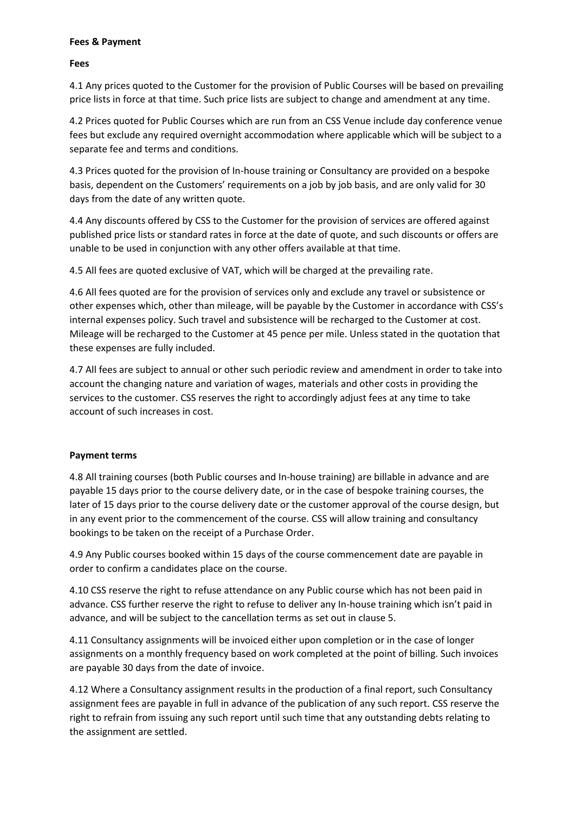#### **Fees & Payment**

**Fees**

4.1 Any prices quoted to the Customer for the provision of Public Courses will be based on prevailing price lists in force at that time. Such price lists are subject to change and amendment at any time.

4.2 Prices quoted for Public Courses which are run from an CSS Venue include day conference venue fees but exclude any required overnight accommodation where applicable which will be subject to a separate fee and terms and conditions.

4.3 Prices quoted for the provision of In-house training or Consultancy are provided on a bespoke basis, dependent on the Customers' requirements on a job by job basis, and are only valid for 30 days from the date of any written quote.

4.4 Any discounts offered by CSS to the Customer for the provision of services are offered against published price lists or standard rates in force at the date of quote, and such discounts or offers are unable to be used in conjunction with any other offers available at that time.

4.5 All fees are quoted exclusive of VAT, which will be charged at the prevailing rate.

4.6 All fees quoted are for the provision of services only and exclude any travel or subsistence or other expenses which, other than mileage, will be payable by the Customer in accordance with CSS's internal expenses policy. Such travel and subsistence will be recharged to the Customer at cost. Mileage will be recharged to the Customer at 45 pence per mile. Unless stated in the quotation that these expenses are fully included.

4.7 All fees are subject to annual or other such periodic review and amendment in order to take into account the changing nature and variation of wages, materials and other costs in providing the services to the customer. CSS reserves the right to accordingly adjust fees at any time to take account of such increases in cost.

# **Payment terms**

4.8 All training courses (both Public courses and In-house training) are billable in advance and are payable 15 days prior to the course delivery date, or in the case of bespoke training courses, the later of 15 days prior to the course delivery date or the customer approval of the course design, but in any event prior to the commencement of the course. CSS will allow training and consultancy bookings to be taken on the receipt of a Purchase Order.

4.9 Any Public courses booked within 15 days of the course commencement date are payable in order to confirm a candidates place on the course.

4.10 CSS reserve the right to refuse attendance on any Public course which has not been paid in advance. CSS further reserve the right to refuse to deliver any In-house training which isn't paid in advance, and will be subject to the cancellation terms as set out in clause 5.

4.11 Consultancy assignments will be invoiced either upon completion or in the case of longer assignments on a monthly frequency based on work completed at the point of billing. Such invoices are payable 30 days from the date of invoice.

4.12 Where a Consultancy assignment results in the production of a final report, such Consultancy assignment fees are payable in full in advance of the publication of any such report. CSS reserve the right to refrain from issuing any such report until such time that any outstanding debts relating to the assignment are settled.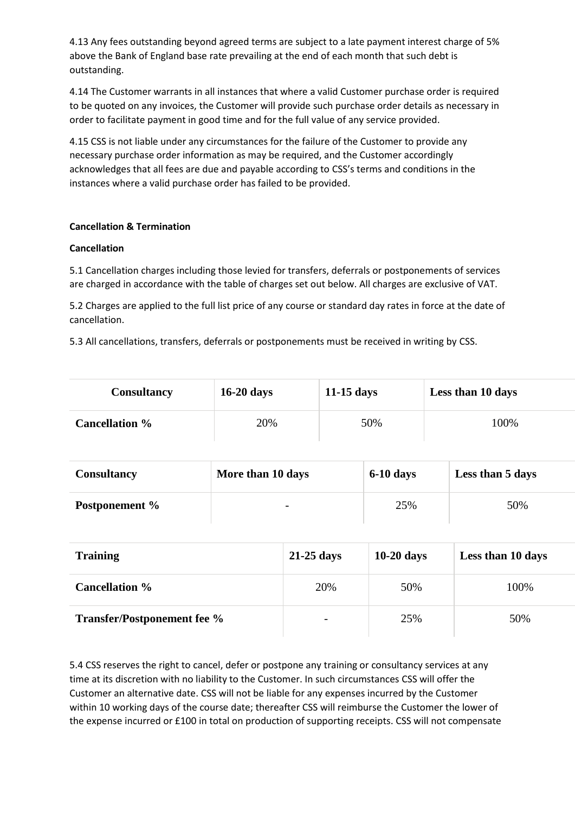4.13 Any fees outstanding beyond agreed terms are subject to a late payment interest charge of 5% above the Bank of England base rate prevailing at the end of each month that such debt is outstanding.

4.14 The Customer warrants in all instances that where a valid Customer purchase order is required to be quoted on any invoices, the Customer will provide such purchase order details as necessary in order to facilitate payment in good time and for the full value of any service provided.

4.15 CSS is not liable under any circumstances for the failure of the Customer to provide any necessary purchase order information as may be required, and the Customer accordingly acknowledges that all fees are due and payable according to CSS's terms and conditions in the instances where a valid purchase order has failed to be provided.

# **Cancellation & Termination**

#### **Cancellation**

5.1 Cancellation charges including those levied for transfers, deferrals or postponements of services are charged in accordance with the table of charges set out below. All charges are exclusive of VAT.

5.2 Charges are applied to the full list price of any course or standard day rates in force at the date of cancellation.

5.3 All cancellations, transfers, deferrals or postponements must be received in writing by CSS.

| <b>Consultancy</b>    | $16-20$ days | $11-15$ days | Less than 10 days |
|-----------------------|--------------|--------------|-------------------|
| <b>Cancellation</b> % | 20%          | 50%          | 100%              |

| <b>Consultancy</b> | More than 10 days        | $6-10$ days | Less than 5 days |
|--------------------|--------------------------|-------------|------------------|
| Postponement %     | $\overline{\phantom{0}}$ | 25%         | 50%              |

| <b>Training</b>                    | $21-25$ days             | $10-20$ days | Less than 10 days |
|------------------------------------|--------------------------|--------------|-------------------|
| <b>Cancellation %</b>              | 20%                      | 50%          | 100%              |
| <b>Transfer/Postponement fee %</b> | $\overline{\phantom{0}}$ | 25%          | 50%               |

5.4 CSS reserves the right to cancel, defer or postpone any training or consultancy services at any time at its discretion with no liability to the Customer. In such circumstances CSS will offer the Customer an alternative date. CSS will not be liable for any expenses incurred by the Customer within 10 working days of the course date; thereafter CSS will reimburse the Customer the lower of the expense incurred or £100 in total on production of supporting receipts. CSS will not compensate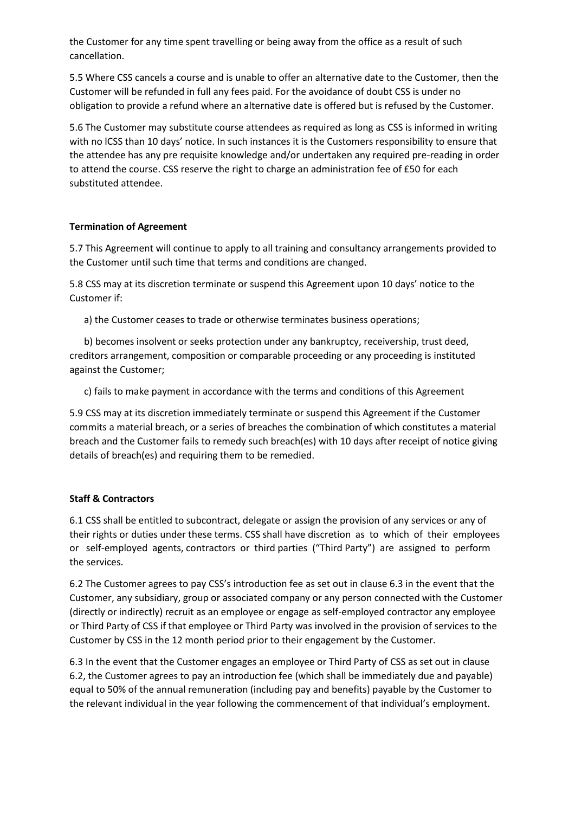the Customer for any time spent travelling or being away from the office as a result of such cancellation.

5.5 Where CSS cancels a course and is unable to offer an alternative date to the Customer, then the Customer will be refunded in full any fees paid. For the avoidance of doubt CSS is under no obligation to provide a refund where an alternative date is offered but is refused by the Customer.

5.6 The Customer may substitute course attendees as required as long as CSS is informed in writing with no lCSS than 10 days' notice. In such instances it is the Customers responsibility to ensure that the attendee has any pre requisite knowledge and/or undertaken any required pre-reading in order to attend the course. CSS reserve the right to charge an administration fee of £50 for each substituted attendee.

# **Termination of Agreement**

5.7 This Agreement will continue to apply to all training and consultancy arrangements provided to the Customer until such time that terms and conditions are changed.

5.8 CSS may at its discretion terminate or suspend this Agreement upon 10 days' notice to the Customer if:

a) the Customer ceases to trade or otherwise terminates business operations;

 b) becomes insolvent or seeks protection under any bankruptcy, receivership, trust deed, creditors arrangement, composition or comparable proceeding or any proceeding is instituted against the Customer;

c) fails to make payment in accordance with the terms and conditions of this Agreement

5.9 CSS may at its discretion immediately terminate or suspend this Agreement if the Customer commits a material breach, or a series of breaches the combination of which constitutes a material breach and the Customer fails to remedy such breach(es) with 10 days after receipt of notice giving details of breach(es) and requiring them to be remedied.

#### **Staff & Contractors**

6.1 CSS shall be entitled to subcontract, delegate or assign the provision of any services or any of their rights or duties under these terms. CSS shall have discretion as to which of their employees or self-employed agents, contractors or third parties ("Third Party") are assigned to perform the services.

6.2 The Customer agrees to pay CSS's introduction fee as set out in clause 6.3 in the event that the Customer, any subsidiary, group or associated company or any person connected with the Customer (directly or indirectly) recruit as an employee or engage as self-employed contractor any employee or Third Party of CSS if that employee or Third Party was involved in the provision of services to the Customer by CSS in the 12 month period prior to their engagement by the Customer.

6.3 In the event that the Customer engages an employee or Third Party of CSS as set out in clause 6.2, the Customer agrees to pay an introduction fee (which shall be immediately due and payable) equal to 50% of the annual remuneration (including pay and benefits) payable by the Customer to the relevant individual in the year following the commencement of that individual's employment.